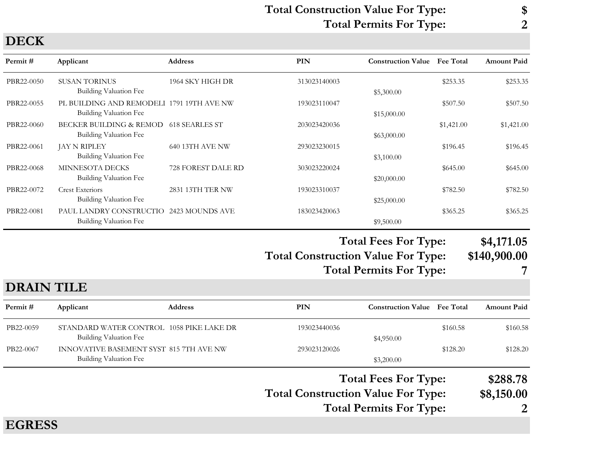#### Total Construction Value For Type: \$ Total Permits For Type: 2

| DECIN      |                                                                            |                    |                                   |                             |                  |                        |
|------------|----------------------------------------------------------------------------|--------------------|-----------------------------------|-----------------------------|------------------|------------------------|
| Permit#    | Applicant                                                                  | <b>Address</b>     | PIN                               | <b>Construction Value</b>   | <b>Fee Total</b> | <b>Amount Paid</b>     |
| PBR22-0050 | <b>SUSAN TORINUS</b><br><b>Building Valuation Fee</b>                      | 1964 SKY HIGH DR   | 313023140003                      | \$5,300.00                  | \$253.35         | \$253.35               |
| PBR22-0055 | PL BUILDING AND REMODELI 1791 19TH AVE NW<br><b>Building Valuation Fee</b> |                    | 193023110047                      | \$15,000.00                 | \$507.50         | \$507.50               |
| PBR22-0060 | BECKER BUILDING & REMOD<br><b>Building Valuation Fee</b>                   | 618 SEARLES ST     | 203023420036                      | \$63,000.00                 | \$1,421.00       | \$1,421.00             |
| PBR22-0061 | JAY N RIPLEY<br><b>Building Valuation Fee</b>                              | 640 13TH AVE NW    | 293023230015                      | \$3,100.00                  | \$196.45         | \$196.45               |
| PBR22-0068 | MINNESOTA DECKS<br>Building Valuation Fee                                  | 728 FOREST DALE RD | 303023220024                      | \$20,000.00                 | \$645.00         | \$645.00               |
| PBR22-0072 | <b>Crest Exteriors</b><br><b>Building Valuation Fee</b>                    | 2831 13TH TER NW   | 193023310037                      | \$25,000.00                 | \$782.50         | \$782.50               |
| PBR22-0081 | PAUL LANDRY CONSTRUCTIO 2423 MOUNDS AVE<br><b>Building Valuation Fee</b>   |                    | 183023420063                      | \$9,500.00                  | \$365.25         | \$365.25               |
|            |                                                                            |                    |                                   | <b>Total Fees For Type:</b> |                  | \$4,171.05             |
|            |                                                                            |                    | Total Construction Value For Type |                             |                  | $\triangle 110$ and an |

Total Construction Value For Type: \$140,900.00

| <b>Total Permits For Type:</b> |  |
|--------------------------------|--|
|--------------------------------|--|

### DRAIN TILE

| Permit #      | Applicant                                                          | <b>Address</b> | PIN                                       | <b>Construction Value</b> Fee Total                           |          | <b>Amount Paid</b>          |
|---------------|--------------------------------------------------------------------|----------------|-------------------------------------------|---------------------------------------------------------------|----------|-----------------------------|
| PB22-0059     | STANDARD WATER CONTROL 1058 PIKE LAKE DR<br>Building Valuation Fee |                | 193023440036                              | \$4,950.00                                                    | \$160.58 | \$160.58                    |
| PB22-0067     | INNOVATIVE BASEMENT SYST 815 7TH AVE NW<br>Building Valuation Fee  |                | 293023120026                              | \$3,200.00                                                    | \$128.20 | \$128.20                    |
|               |                                                                    |                | <b>Total Construction Value For Type:</b> | <b>Total Fees For Type:</b><br><b>Total Permits For Type:</b> |          | \$288.78<br>\$8,150.00<br>2 |
| <b>EGRESS</b> |                                                                    |                |                                           |                                                               |          |                             |

# DECK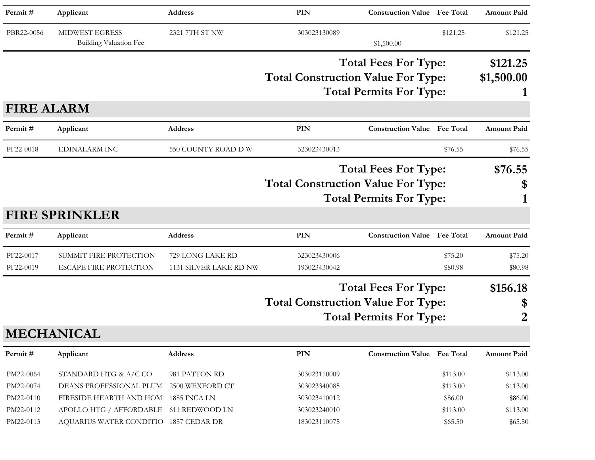| Permit#                                                       | Applicant                                                                                                              | <b>Address</b>                                  | PIN                                                          | <b>Construction Value</b> Fee Total                           |                                             | <b>Amount Paid</b>                          |
|---------------------------------------------------------------|------------------------------------------------------------------------------------------------------------------------|-------------------------------------------------|--------------------------------------------------------------|---------------------------------------------------------------|---------------------------------------------|---------------------------------------------|
| PBR22-0056                                                    | <b>MIDWEST EGRESS</b><br><b>Building Valuation Fee</b>                                                                 | 2321 7TH ST NW                                  | 303023130089                                                 | \$1,500.00                                                    | \$121.25                                    | \$121.25                                    |
|                                                               |                                                                                                                        |                                                 | <b>Total Construction Value For Type:</b>                    | <b>Total Fees For Type:</b><br><b>Total Permits For Type:</b> |                                             | \$121.25<br>\$1,500.00                      |
| <b>FIRE ALARM</b>                                             |                                                                                                                        |                                                 |                                                              |                                                               |                                             |                                             |
| Permit#                                                       | Applicant                                                                                                              | <b>Address</b>                                  | PIN                                                          | <b>Construction Value Fee Total</b>                           |                                             | <b>Amount Paid</b>                          |
| PF22-0018                                                     | <b>EDINALARM INC</b>                                                                                                   | 550 COUNTY ROAD D W                             | 323023430013                                                 |                                                               | \$76.55                                     | \$76.55                                     |
|                                                               |                                                                                                                        |                                                 | <b>Total Construction Value For Type:</b>                    | <b>Total Fees For Type:</b><br><b>Total Permits For Type:</b> |                                             | \$76.55<br>\$                               |
|                                                               | <b>FIRE SPRINKLER</b>                                                                                                  |                                                 |                                                              |                                                               |                                             |                                             |
| Permit#                                                       | Applicant                                                                                                              | Address                                         | PIN                                                          | <b>Construction Value</b> Fee Total                           |                                             | <b>Amount Paid</b>                          |
| PF22-0017<br>PF22-0019                                        | SUMMIT FIRE PROTECTION<br><b>ESCAPE FIRE PROTECTION</b>                                                                | 729 LONG LAKE RD<br>1131 SILVER LAKE RD NW      | 323023430006<br>193023430042                                 |                                                               | \$75.20<br>\$80.98                          | \$75.20<br>\$80.98                          |
|                                                               |                                                                                                                        |                                                 | <b>Total Construction Value For Type:</b>                    | <b>Total Fees For Type:</b><br><b>Total Permits For Type:</b> |                                             | \$156.18<br>\$<br>2                         |
|                                                               | <b>MECHANICAL</b>                                                                                                      |                                                 |                                                              |                                                               |                                             |                                             |
| Permit#                                                       | Applicant                                                                                                              | Address                                         | PIN                                                          | <b>Construction Value Fee Total</b>                           |                                             | <b>Amount Paid</b>                          |
| PM22-0064<br>PM22-0074<br>PM22-0110<br>PM22-0112<br>PM22-0113 | STANDARD HTG & A/C CO<br>DEANS PROFESSIONAL PLUM 2500 WEXFORD CT<br>FIRESIDE HEARTH AND HOM<br>APOLLO HTG / AFFORDABLE | 981 PATTON RD<br>1885 INCA LN<br>611 REDWOOD LN | 303023110009<br>303023340085<br>303023410012<br>303023240010 |                                                               | \$113.00<br>\$113.00<br>\$86.00<br>\$113.00 | \$113.00<br>\$113.00<br>\$86.00<br>\$113.00 |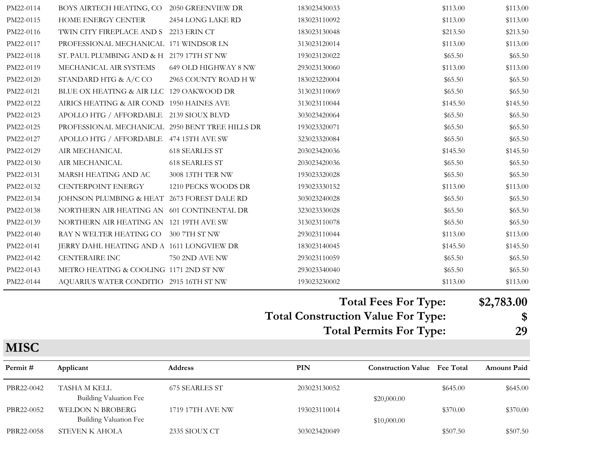| PM22-0114 | BOYS AIRTECH HEATING, CO 2050 GREENVIEW DR      |                       | 183023430033 | \$113.00             | \$113.00  |
|-----------|-------------------------------------------------|-----------------------|--------------|----------------------|-----------|
| PM22-0115 | HOME ENERGY CENTER                              | 2454 LONG LAKE RD     | 183023110092 | \$113.00             | \$113.00  |
| PM22-0116 | TWIN CITY FIREPLACE AND S 2213 ERIN CT          |                       | 183023130048 | \$213.50             | \$213.50  |
| PM22-0117 | PROFESSIONAL MECHANICAL 171 WINDSOR LN          |                       | 313023120014 | \$113.00             | \$113.00  |
| PM22-0118 | ST. PAUL PLUMBING AND & H 2179 17TH ST NW       |                       | 193023120022 | \$65.50              | \$65.50   |
| PM22-0119 | MECHANICAL AIR SYSTEMS                          | 649 OLD HIGHWAY 8 NW  | 293023130060 | \$113.00             | \$113.00  |
| PM22-0120 | STANDARD HTG $\&$ A/C CO                        | 2965 COUNTY ROAD H W  | 183023220004 | \$65.50              | \$65.50   |
| PM22-0121 | BLUE OX HEATING & AIR LLC 129 OAKWOOD DR        |                       | 313023110069 | \$65.50              | \$65.50   |
| PM22-0122 | AIRICS HEATING & AIR COND 1950 HAINES AVE       |                       | 313023110044 | \$145.50             | \$145.50  |
| PM22-0123 | APOLLO HTG / AFFORDABLE 2139 SIOUX BLVD         |                       | 303023420064 | \$65.50              | \$65.50   |
| PM22-0125 | PROFESSIONAL MECHANICAL 2950 BENT TREE HILLS DR |                       | 193023320071 | \$65.50              | \$65.50   |
| PM22-0127 | APOLLO HTG / AFFORDABLE 474 15TH AVE SW         |                       | 323023320084 | \$65.50              | \$65.50   |
| PM22-0129 | AIR MECHANICAL                                  | <b>618 SEARLES ST</b> | 203023420036 | \$145.50             | \$145.50  |
| PM22-0130 | AIR MECHANICAL                                  | <b>618 SEARLES ST</b> | 203023420036 | \$65.50              | \$65.50   |
| PM22-0131 | MARSH HEATING AND AC                            | 3008 13TH TER NW      | 193023320028 | \$65.50              | \$65.50   |
| PM22-0132 | CENTERPOINT ENERGY                              | 1210 PECKS WOODS DR   | 193023330152 | \$113.00             | \$113.00  |
| PM22-0134 | JOHNSON PLUMBING & HEAT 2673 FOREST DALE RD     |                       | 303023240028 | \$65.50              | \$65.50   |
| PM22-0138 | NORTHERN AIR HEATING AN 601 CONTINENTAL DR      |                       | 323023330028 | \$65.50              | \$65.50   |
| PM22-0139 | NORTHERN AIR HEATING AN 121 19TH AVE SW         |                       | 313023110078 | \$65.50              | \$65.50   |
| PM22-0140 | RAY N WELTER HEATING CO 300 7TH ST NW           |                       | 293023110044 | \$113.00             | \$113.00  |
| PM22-0141 | JERRY DAHL HEATING AND A 1611 LONGVIEW DR       |                       | 183023140045 | \$145.50             | \$145.50  |
| PM22-0142 | <b>CENTERAIRE INC</b>                           | 750 2ND AVE NW        | 293023110059 | \$65.50              | \$65.50   |
| PM22-0143 | METRO HEATING & COOLING 1171 2ND ST NW          |                       | 293023340040 | \$65.50              | \$65.50   |
| PM22-0144 | AQUARIUS WATER CONDITIO 2915 16TH ST NW         |                       | 193023230002 | \$113.00             | \$113.00  |
|           |                                                 |                       |              | Total Fees For Type: | 42.783.00 |

#### Total Fees For Type: \$2,783.00

Total Construction Value For Type: \$

Total Permits For Type: 29

| Permit#    | Applicant                                         | <b>Address</b>   | PIN          | <b>Construction Value</b> Fee Total |          | <b>Amount Paid</b> |
|------------|---------------------------------------------------|------------------|--------------|-------------------------------------|----------|--------------------|
| PBR22-0042 | TASHA M KELL<br>Building Valuation Fee            | 675 SEARLES ST   | 203023130052 | \$20,000.00                         | \$645.00 | \$645.00           |
| PBR22-0052 | <b>WELDON N BROBERG</b><br>Building Valuation Fee | 1719 17TH AVE NW | 193023110014 | \$10,000.00                         | \$370.00 | \$370.00           |
| PBR22-0058 | <b>STEVEN K AHOLA</b>                             | 2335 SIOUX CT    | 303023420049 |                                     | \$507.50 | \$507.50           |

#### **MISC**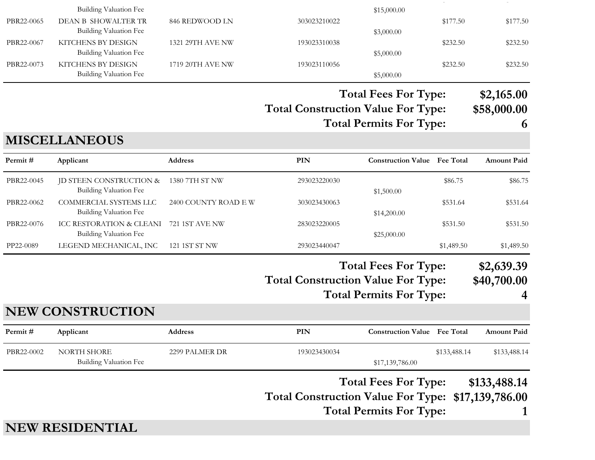|            | <b>Building Valuation Fee</b>                       |                      |                                                    | \$15,000.00                                                   |              |                                |
|------------|-----------------------------------------------------|----------------------|----------------------------------------------------|---------------------------------------------------------------|--------------|--------------------------------|
| PBR22-0065 | DEAN B SHOWALTER TR<br>Building Valuation Fee       | 846 REDWOOD LN       | 303023210022                                       | \$3,000.00                                                    | \$177.50     | \$177.50                       |
| PBR22-0067 | KITCHENS BY DESIGN<br>Building Valuation Fee        | 1321 29TH AVE NW     | 193023310038                                       | \$5,000.00                                                    | \$232.50     | \$232.50                       |
| PBR22-0073 | KITCHENS BY DESIGN<br><b>Building Valuation Fee</b> | 1719 20TH AVE NW     | 193023110056                                       | \$5,000.00                                                    | \$232.50     | \$232.50                       |
|            |                                                     |                      |                                                    | <b>Total Fees For Type:</b>                                   |              | \$2,165.00                     |
|            |                                                     |                      | <b>Total Construction Value For Type:</b>          | <b>Total Permits For Type:</b>                                |              | \$58,000.00<br>6               |
|            | <b>MISCELLANEOUS</b>                                |                      |                                                    |                                                               |              |                                |
| Permit#    | Applicant                                           | Address              | <b>PIN</b>                                         | <b>Construction Value</b> Fee Total                           |              | <b>Amount Paid</b>             |
| PBR22-0045 | JD STEEN CONSTRUCTION &<br>Building Valuation Fee   | 1380 7TH ST NW       | 293023220030                                       | \$1,500.00                                                    | \$86.75      | \$86.75                        |
| PBR22-0062 | COMMERCIAL SYSTEMS LLC<br>Building Valuation Fee    | 2400 COUNTY ROAD E W | 303023430063                                       | \$14,200.00                                                   | \$531.64     | \$531.64                       |
| PBR22-0076 | ICC RESTORATION & CLEANI<br>Building Valuation Fee  | 721 1ST AVE NW       | 283023220005                                       | \$25,000.00                                                   | \$531.50     | \$531.50                       |
| PP22-0089  | LEGEND MECHANICAL, INC                              | 121 1ST ST NW        | 293023440047                                       |                                                               | \$1,489.50   | \$1,489.50                     |
|            |                                                     |                      | <b>Total Construction Value For Type:</b>          | <b>Total Fees For Type:</b><br><b>Total Permits For Type:</b> |              | \$2,639.39<br>\$40,700.00<br>4 |
|            | <b>NEW CONSTRUCTION</b>                             |                      |                                                    |                                                               |              |                                |
| Permit#    | Applicant                                           | Address              | PIN                                                | <b>Construction Value</b> Fee Total                           |              | <b>Amount Paid</b>             |
| PBR22-0002 | NORTH SHORE<br><b>Building Valuation Fee</b>        | 2299 PALMER DR       | 193023430034                                       | \$17,139,786.00                                               | \$133,488.14 | \$133,488.14                   |
|            |                                                     |                      | Total Construction Value For Type: \$17,139,786.00 | <b>Total Fees For Type:</b><br><b>Total Permits For Type:</b> |              | \$133,488.14                   |
|            | <b>NEW RESIDENTIAL</b>                              |                      |                                                    |                                                               |              |                                |

\$507.50 \$507.50 \$507.50 \$507.50 \$507.50 \$507.50 \$507.50 \$507.50 \$507.50 \$507.50 \$507.50 \$507.50 \$507.50 \$507.50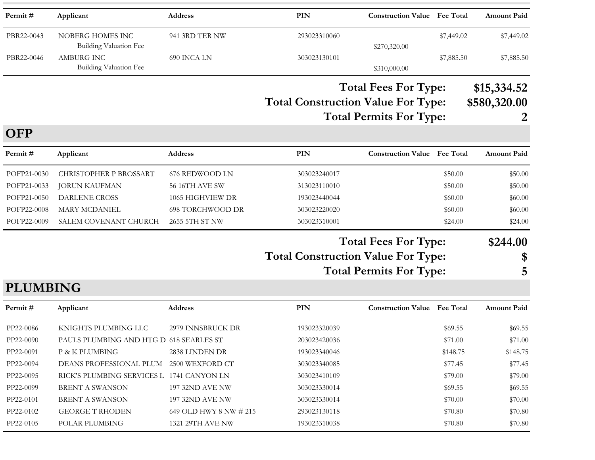| Permit#     | Applicant                                   | <b>Address</b>          | <b>PIN</b>                                | <b>Construction Value</b> Fee Total                           |                  | <b>Amount Paid</b>               |
|-------------|---------------------------------------------|-------------------------|-------------------------------------------|---------------------------------------------------------------|------------------|----------------------------------|
| PBR22-0043  | NOBERG HOMES INC<br>Building Valuation Fee  | 941 3RD TER NW          | 293023310060                              | \$270,320.00                                                  | \$7,449.02       | \$7,449.02                       |
| PBR22-0046  | <b>AMBURG INC</b><br>Building Valuation Fee | 690 INCA LN             | 303023130101                              | \$310,000.00                                                  | \$7,885.50       | \$7,885.50                       |
| <b>OFP</b>  |                                             |                         | <b>Total Construction Value For Type:</b> | <b>Total Fees For Type:</b><br><b>Total Permits For Type:</b> |                  | \$15,334.52<br>\$580,320.00<br>2 |
| Permit#     | Applicant                                   | <b>Address</b>          | PIN                                       | <b>Construction Value</b>                                     | <b>Fee Total</b> | <b>Amount Paid</b>               |
| POFP21-0030 | <b>CHRISTOPHER P BROSSART</b>               | 676 REDWOOD LN          | 303023240017                              |                                                               | \$50.00          | \$50.00                          |
| POFP21-0033 | <b>JORUN KAUFMAN</b>                        | <b>56 16TH AVE SW</b>   | 313023110010                              |                                                               | \$50.00          | \$50.00                          |
| POFP21-0050 | <b>DARLENE CROSS</b>                        | 1065 HIGHVIEW DR        | 193023440044                              |                                                               | \$60.00          | \$60.00                          |
| POFP22-0008 | <b>MARY MCDANIEL</b>                        | <b>698 TORCHWOOD DR</b> | 303023220020                              |                                                               | \$60.00          | \$60.00                          |
| POFP22-0009 | SALEM COVENANT CHURCH                       | 2655 5TH ST NW          | 303023310001                              |                                                               | \$24.00          | \$24.00                          |
|             |                                             |                         | <b>Total Construction Value For Type:</b> | <b>Total Fees For Type:</b><br><b>Total Permits For Type:</b> |                  | \$244.00<br>\$<br>5              |

# PLUMBING

| Permit #  | Applicant                                 | <b>Address</b>            | PIN          | <b>Construction Value</b> | <b>Fee Total</b> | <b>Amount Paid</b> |
|-----------|-------------------------------------------|---------------------------|--------------|---------------------------|------------------|--------------------|
| PP22-0086 | KNIGHTS PLUMBING LLC                      | 2979 INNSBRUCK DR         | 193023320039 |                           | \$69.55          | \$69.55            |
| PP22-0090 | PAULS PLUMBING AND HTG D 618 SEARLES ST   |                           | 203023420036 |                           | \$71.00          | \$71.00            |
| PP22-0091 | P & K PLUMBING                            | 2838 LINDEN DR            | 193023340046 |                           | \$148.75         | \$148.75           |
| PP22-0094 | DEANS PROFESSIONAL PLUM                   | 2500 WEXFORD CT           | 303023340085 |                           | \$77.45          | \$77.45            |
| PP22-0095 | RICK'S PLUMBING SERVICES L 1741 CANYON LN |                           | 303023410109 |                           | \$79.00          | \$79.00            |
| PP22-0099 | BRENT A SWANSON                           | <b>197 32ND AVE NW</b>    | 303023330014 |                           | \$69.55          | \$69.55            |
| PP22-0101 | BRENT A SWANSON                           | <b>197 32ND AVE NW</b>    | 303023330014 |                           | \$70.00          | \$70.00            |
| PP22-0102 | <b>GEORGE T RHODEN</b>                    | 649 OLD HWY 8 NW $\#$ 215 | 293023130118 |                           | \$70.80          | \$70.80            |
| PP22-0105 | POLAR PLUMBING                            | 1321 29TH AVE NW          | 193023310038 |                           | \$70.80          | \$70.80            |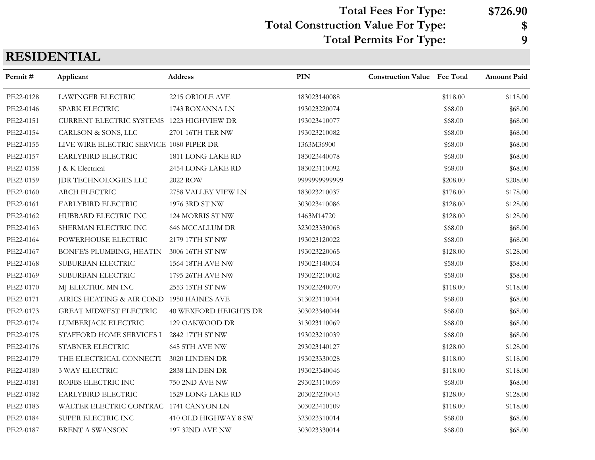Total Construction Value For Type: \$ Total Fees For Type: \$726.90 Total Permits For Type: 9

# RESIDENTIAL

| Permit#   | Applicant                                 | <b>Address</b>               | <b>PIN</b>    | <b>Construction Value Fee Total</b> |          | <b>Amount Paid</b> |
|-----------|-------------------------------------------|------------------------------|---------------|-------------------------------------|----------|--------------------|
| PE22-0128 | <b>LAWINGER ELECTRIC</b>                  | 2215 ORIOLE AVE              | 183023140088  |                                     | \$118.00 | \$118.00           |
| PE22-0146 | SPARK ELECTRIC                            | 1743 ROXANNA LN              | 193023220074  |                                     | \$68.00  | \$68.00            |
| PE22-0151 | CURRENT ELECTRIC SYSTEMS 1223 HIGHVIEW DR |                              | 193023410077  |                                     | \$68.00  | \$68.00            |
| PE22-0154 | CARLSON & SONS, LLC                       | 2701 16TH TER NW             | 193023210082  |                                     | \$68.00  | \$68.00            |
| PE22-0155 | LIVE WIRE ELECTRIC SERVICE 1080 PIPER DR  |                              | 1363M36900    |                                     | \$68.00  | \$68.00            |
| PE22-0157 | EARLYBIRD ELECTRIC                        | 1811 LONG LAKE RD            | 183023440078  |                                     | \$68.00  | \$68.00            |
| PE22-0158 | J & K Electrical                          | 2454 LONG LAKE RD            | 183023110092  |                                     | \$68.00  | \$68.00            |
| PE22-0159 | JDR TECHNOLOGIES LLC                      | 2022 ROW                     | 9999999999999 |                                     | \$208.00 | \$208.00           |
| PE22-0160 | ARCH ELECTRIC                             | 2758 VALLEY VIEW LN          | 183023210037  |                                     | \$178.00 | \$178.00           |
| PE22-0161 | EARLYBIRD ELECTRIC                        | 1976 3RD ST NW               | 303023410086  |                                     | \$128.00 | \$128.00           |
| PE22-0162 | HUBBARD ELECTRIC INC                      | 124 MORRIS ST NW             | 1463M14720    |                                     | \$128.00 | \$128.00           |
| PE22-0163 | SHERMAN ELECTRIC INC                      | <b>646 MCCALLUM DR</b>       | 323023330068  |                                     | \$68.00  | \$68.00            |
| PE22-0164 | POWERHOUSE ELECTRIC                       | 2179 17TH ST NW              | 193023120022  |                                     | \$68.00  | \$68.00            |
| PE22-0167 | BONFE'S PLUMBING, HEATIN                  | 3006 16TH ST NW              | 193023220065  |                                     | \$128.00 | \$128.00           |
| PE22-0168 | SUBURBAN ELECTRIC                         | 1564 18TH AVE NW             | 193023140034  |                                     | \$58.00  | \$58.00            |
| PE22-0169 | SUBURBAN ELECTRIC                         | 1795 26TH AVE NW             | 193023210002  |                                     | \$58.00  | \$58.00            |
| PE22-0170 | MJ ELECTRIC MN INC                        | 2553 15TH ST NW              | 193023240070  |                                     | \$118.00 | \$118.00           |
| PE22-0171 | AIRICS HEATING & AIR COND 1950 HAINES AVE |                              | 313023110044  |                                     | \$68.00  | \$68.00            |
| PE22-0173 | <b>GREAT MIDWEST ELECTRIC</b>             | <b>40 WEXFORD HEIGHTS DR</b> | 303023340044  |                                     | \$68.00  | \$68.00            |
| PE22-0174 | LUMBERJACK ELECTRIC                       | 129 OAKWOOD DR               | 313023110069  |                                     | \$68.00  | \$68.00            |
| PE22-0175 | STAFFORD HOME SERVICES I                  | 2842 17TH ST NW              | 193023210039  |                                     | \$68.00  | \$68.00            |
| PE22-0176 | STABNER ELECTRIC                          | 645 5TH AVE NW               | 293023140127  |                                     | \$128.00 | \$128.00           |
| PE22-0179 | THE ELECTRICAL CONNECTI                   | 3020 LINDEN DR               | 193023330028  |                                     | \$118.00 | \$118.00           |
| PE22-0180 | <b>3 WAY ELECTRIC</b>                     | 2838 LINDEN DR               | 193023340046  |                                     | \$118.00 | \$118.00           |
| PE22-0181 | ROBBS ELECTRIC INC                        | <b>750 2ND AVE NW</b>        | 293023110059  |                                     | \$68.00  | \$68.00            |
| PE22-0182 | EARLYBIRD ELECTRIC                        | 1529 LONG LAKE RD            | 203023230043  |                                     | \$128.00 | \$128.00           |
| PE22-0183 | WALTER ELECTRIC CONTRAC 1741 CANYON LN    |                              | 303023410109  |                                     | \$118.00 | \$118.00           |
| PE22-0184 | SUPER ELECTRIC INC                        | 410 OLD HIGHWAY 8 SW         | 323023310014  |                                     | \$68.00  | \$68.00            |
| PE22-0187 | <b>BRENT A SWANSON</b>                    | 197 32ND AVE NW              | 303023330014  |                                     | \$68.00  | \$68.00            |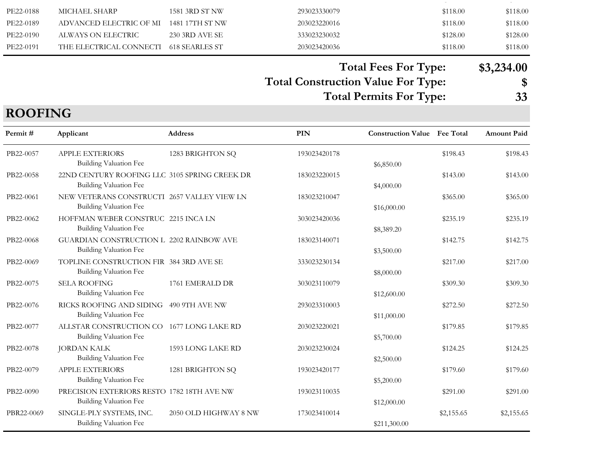| PE22-0188 | MICHAEL SHARP           | 1581 3RD ST NW  | 293023330079 | \$118.00 | \$118.00 |
|-----------|-------------------------|-----------------|--------------|----------|----------|
| PE22-0189 | ADVANCED ELECTRIC OF MI | 1481 17TH ST NW | 203023220016 | \$118.00 | \$118.00 |
| PE22-0190 | ALWAYS ON ELECTRIC      | 230 3RD AVE SE  | 333023230032 | \$128.00 | \$128.00 |
| PE22-0191 | THE ELECTRICAL CONNECTI | 618 SEARLES ST  | 203023420036 | \$118.00 | \$118.00 |

# Total Fees For Type: \$3,234.00

Total Construction Value For Type:<br>
Total Permits For Type: 33 Total Permits For Type:

# ROOFING

| Permit#    | Applicant                                                                    | <b>Address</b>        | PIN          | <b>Construction Value Fee Total</b> |            | <b>Amount Paid</b> |
|------------|------------------------------------------------------------------------------|-----------------------|--------------|-------------------------------------|------------|--------------------|
| PB22-0057  | <b>APPLE EXTERIORS</b><br>Building Valuation Fee                             | 1283 BRIGHTON SQ      | 193023420178 | \$6,850.00                          | \$198.43   | \$198.43           |
| PB22-0058  | 22ND CENTURY ROOFING LLC 3105 SPRING CREEK DR<br>Building Valuation Fee      |                       | 183023220015 | \$4,000.00                          | \$143.00   | \$143.00           |
| PB22-0061  | NEW VETERANS CONSTRUCTI 2657 VALLEY VIEW LN<br><b>Building Valuation Fee</b> |                       | 183023210047 | \$16,000.00                         | \$365.00   | \$365.00           |
| PB22-0062  | HOFFMAN WEBER CONSTRUC 2215 INCA LN<br><b>Building Valuation Fee</b>         |                       | 303023420036 | \$8,389.20                          | \$235.19   | \$235.19           |
| PB22-0068  | GUARDIAN CONSTRUCTION L 2202 RAINBOW AVE<br>Building Valuation Fee           |                       | 183023140071 | \$3,500.00                          | \$142.75   | \$142.75           |
| PB22-0069  | TOPLINE CONSTRUCTION FIR 384 3RD AVE SE<br>Building Valuation Fee            |                       | 333023230134 | \$8,000.00                          | \$217.00   | \$217.00           |
| PB22-0075  | <b>SELA ROOFING</b><br><b>Building Valuation Fee</b>                         | 1761 EMERALD DR       | 303023110079 | \$12,600.00                         | \$309.30   | \$309.30           |
| PB22-0076  | RICKS ROOFING AND SIDING 490 9TH AVE NW<br>Building Valuation Fee            |                       | 293023310003 | \$11,000.00                         | \$272.50   | \$272.50           |
| PB22-0077  | ALLSTAR CONSTRUCTION CO<br>Building Valuation Fee                            | 1677 LONG LAKE RD     | 203023220021 | \$5,700.00                          | \$179.85   | \$179.85           |
| PB22-0078  | <b>JORDAN KALK</b><br>Building Valuation Fee                                 | 1593 LONG LAKE RD     | 203023230024 | \$2,500.00                          | \$124.25   | \$124.25           |
| PB22-0079  | <b>APPLE EXTERIORS</b><br><b>Building Valuation Fee</b>                      | 1281 BRIGHTON SQ      | 193023420177 | \$5,200.00                          | \$179.60   | \$179.60           |
| PB22-0090  | PRECISION EXTERIORS RESTO 1782 18TH AVE NW<br>Building Valuation Fee         |                       | 193023110035 | \$12,000.00                         | \$291.00   | \$291.00           |
| PBR22-0069 | SINGLE-PLY SYSTEMS, INC.<br><b>Building Valuation Fee</b>                    | 2050 OLD HIGHWAY 8 NW | 173023410014 | \$211,300.00                        | \$2,155.65 | \$2,155.65         |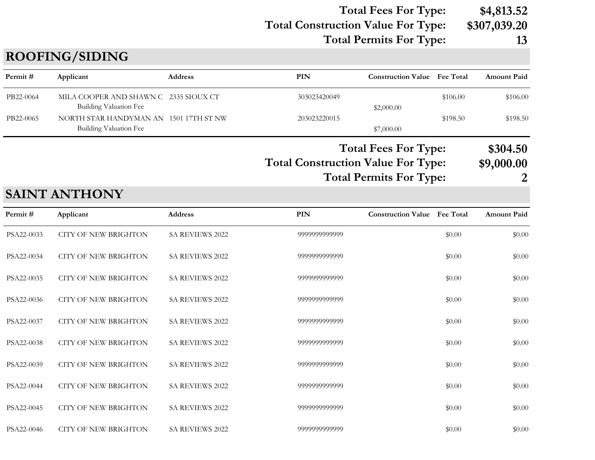### Total Construction Value For Type: \$307,039.20 Total Fees For Type: \$4,813.52 Total Permits For Type: 13

# ROOFING/SIDING

| Permit#   | Applicant                                                        | Address | PIN                                                                                            | <b>Construction Value</b> Fee Total |          | <b>Amount Paid</b>               |
|-----------|------------------------------------------------------------------|---------|------------------------------------------------------------------------------------------------|-------------------------------------|----------|----------------------------------|
| PB22-0064 | MILA COOPER AND SHAWN C 2335 SIOUX CT<br>Building Valuation Fee  |         | 303023420049                                                                                   | \$2,000.00                          | \$106.00 | \$106.00                         |
| PB22-0065 | NORTH STAR HANDYMAN AN 1501 17TH ST NW<br>Building Valuation Fee |         | 203023220015                                                                                   | \$7,000.00                          | \$198.50 | \$198.50                         |
|           |                                                                  |         | <b>Total Fees For Type:</b><br><b>Total Construction Value For Type:</b><br>$\pi$ in any $\pi$ |                                     |          | \$304.50<br>\$9,000.00<br>$\sim$ |

# Total Permits For Type: 2

| Permit #   | Applicant                   | Address                | PIN           | <b>Construction Value</b> Fee Total |        | <b>Amount Paid</b> |
|------------|-----------------------------|------------------------|---------------|-------------------------------------|--------|--------------------|
| PSA22-0033 | <b>CITY OF NEW BRIGHTON</b> | SA REVIEWS 2022        | 9999999999999 |                                     | \$0.00 | \$0.00             |
| PSA22-0034 | <b>CITY OF NEW BRIGHTON</b> | <b>SA REVIEWS 2022</b> | 9999999999999 |                                     | \$0.00 | \$0.00             |
| PSA22-0035 | <b>CITY OF NEW BRIGHTON</b> | SA REVIEWS 2022        | 9999999999999 |                                     | \$0.00 | \$0.00             |
| PSA22-0036 | <b>CITY OF NEW BRIGHTON</b> | SA REVIEWS 2022        | 9999999999999 |                                     | \$0.00 | \$0.00             |
| PSA22-0037 | <b>CITY OF NEW BRIGHTON</b> | SA REVIEWS 2022        | 9999999999999 |                                     | \$0.00 | \$0.00             |
| PSA22-0038 | <b>CITY OF NEW BRIGHTON</b> | SA REVIEWS 2022        | 9999999999999 |                                     | \$0.00 | \$0.00             |
| PSA22-0039 | <b>CITY OF NEW BRIGHTON</b> | SA REVIEWS 2022        | 9999999999999 |                                     | \$0.00 | \$0.00             |
| PSA22-0044 | <b>CITY OF NEW BRIGHTON</b> | SA REVIEWS 2022        | 9999999999999 |                                     | \$0.00 | \$0.00             |
| PSA22-0045 | <b>CITY OF NEW BRIGHTON</b> | SA REVIEWS 2022        | 9999999999999 |                                     | \$0.00 | \$0.00             |
| PSA22-0046 | <b>CITY OF NEW BRIGHTON</b> | SA REVIEWS 2022        | 9999999999999 |                                     | \$0.00 | \$0.00             |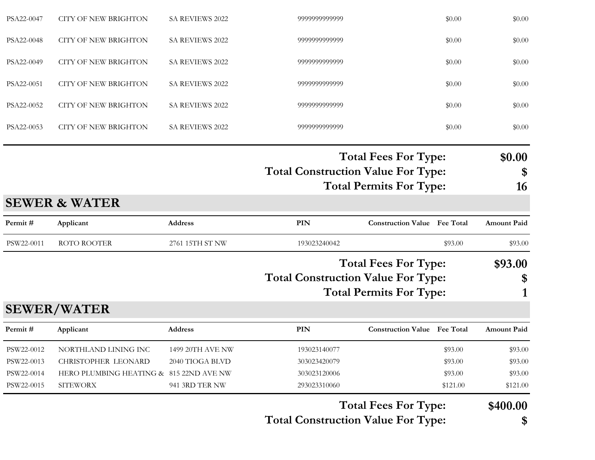|            |                                         |                  |                                           | <b>Total Fees For Type:</b>         |          | \$400.00           |
|------------|-----------------------------------------|------------------|-------------------------------------------|-------------------------------------|----------|--------------------|
| PSW22-0015 | <b>SITEWORX</b>                         | 941 3RD TER NW   | 293023310060                              |                                     | \$121.00 | \$121.00           |
| PSW22-0014 | HERO PLUMBING HEATING & 815 22ND AVE NW |                  | 303023120006                              |                                     | \$93.00  | \$93.00            |
| PSW22-0013 | <b>CHRISTOPHER LEONARD</b>              | 2040 TIOGA BLVD  | 303023420079                              |                                     | \$93.00  | \$93.00            |
| PSW22-0012 | NORTHLAND LINING INC                    | 1499 20TH AVE NW | 193023140077                              |                                     | \$93.00  | \$93.00            |
| Permit#    | Applicant                               | Address          | <b>PIN</b>                                | <b>Construction Value Fee Total</b> |          | <b>Amount Paid</b> |
|            | <b>SEWER/WATER</b>                      |                  |                                           |                                     |          |                    |
|            |                                         |                  |                                           | <b>Total Permits For Type:</b>      |          |                    |
|            |                                         |                  | <b>Total Construction Value For Type:</b> |                                     |          | \$                 |
|            |                                         |                  |                                           | <b>Total Fees For Type:</b>         |          | \$93.00            |
| PSW22-0011 | ROTO ROOTER                             | 2761 15TH ST NW  | 193023240042                              |                                     | \$93.00  | \$93.00            |
| Permit#    | Applicant                               | Address          | PIN                                       | <b>Construction Value Fee Total</b> |          | <b>Amount Paid</b> |
|            | <b>SEWER &amp; WATER</b>                |                  |                                           |                                     |          |                    |
|            |                                         |                  |                                           | <b>Total Permits For Type:</b>      |          | 16                 |
|            |                                         |                  | <b>Total Construction Value For Type:</b> |                                     |          | \$                 |
|            |                                         |                  |                                           | <b>Total Fees For Type:</b>         |          | \$0.00             |
| PSA22-0053 | <b>CITY OF NEW BRIGHTON</b>             | SA REVIEWS 2022  | 9999999999999                             |                                     | \$0.00   | \$0.00             |
| PSA22-0052 | <b>CITY OF NEW BRIGHTON</b>             | SA REVIEWS 2022  | 9999999999999                             |                                     | \$0.00   | \$0.00             |
| PSA22-0051 | <b>CITY OF NEW BRIGHTON</b>             | SA REVIEWS 2022  | 9999999999999                             |                                     | \$0.00   | \$0.00             |
| PSA22-0049 | <b>CITY OF NEW BRIGHTON</b>             | SA REVIEWS 2022  | 9999999999999                             |                                     | \$0.00   | \$0.00             |
| PSA22-0048 | <b>CITY OF NEW BRIGHTON</b>             | SA REVIEWS 2022  | 9999999999999                             |                                     | \$0.00   | \$0.00             |
| PSA22-0047 | <b>CITY OF NEW BRIGHTON</b>             | SA REVIEWS 2022  | 9999999999999                             |                                     | \$0.00   | \$0.00             |
|            |                                         |                  |                                           |                                     |          |                    |

Total Construction Value For Type: \$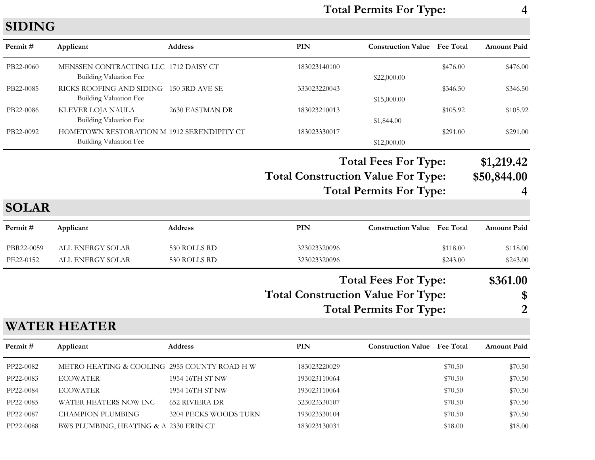# Total Permits For Type: 4

# SIDING

| Permit#      | Applicant                                                            | Address               | PIN                                       | <b>Construction Value Fee Total</b> |          | <b>Amount Paid</b> |
|--------------|----------------------------------------------------------------------|-----------------------|-------------------------------------------|-------------------------------------|----------|--------------------|
| PB22-0060    | MENSSEN CONTRACTING LLC 1712 DAISY CT<br>Building Valuation Fee      |                       | 183023140100                              | \$22,000.00                         | \$476.00 | \$476.00           |
| PB22-0085    | RICKS ROOFING AND SIDING 150 3RD AVE SE<br>Building Valuation Fee    |                       | 333023220043                              | \$15,000.00                         | \$346.50 | \$346.50           |
| PB22-0086    | <b>KLEVER LOJA NAULA</b><br>Building Valuation Fee                   | 2630 EASTMAN DR       | 183023210013                              | \$1,844.00                          | \$105.92 | \$105.92           |
| PB22-0092    | HOMETOWN RESTORATION M 1912 SERENDIPITY CT<br>Building Valuation Fee |                       | 183023330017                              | \$12,000.00                         | \$291.00 | \$291.00           |
|              |                                                                      |                       |                                           | <b>Total Fees For Type:</b>         |          | \$1,219.42         |
|              |                                                                      |                       | <b>Total Construction Value For Type:</b> |                                     |          | \$50,844.00        |
|              |                                                                      |                       |                                           | <b>Total Permits For Type:</b>      |          |                    |
| <b>SOLAR</b> |                                                                      |                       |                                           |                                     |          |                    |
| Permit#      | Applicant                                                            | Address               | <b>PIN</b>                                | <b>Construction Value Fee Total</b> |          | <b>Amount Paid</b> |
| PBR22-0059   | ALL ENERGY SOLAR                                                     | 530 ROLLS RD          | 323023320096                              |                                     | \$118.00 | \$118.00           |
| PE22-0152    | ALL ENERGY SOLAR                                                     | 530 ROLLS RD          | 323023320096                              |                                     | \$243.00 | \$243.00           |
|              |                                                                      |                       |                                           | <b>Total Fees For Type:</b>         |          | \$361.00           |
|              |                                                                      |                       | <b>Total Construction Value For Type:</b> |                                     |          | \$                 |
|              |                                                                      |                       |                                           | <b>Total Permits For Type:</b>      |          | 2                  |
|              | <b>WATER HEATER</b>                                                  |                       |                                           |                                     |          |                    |
| Permit#      | Applicant                                                            | <b>Address</b>        | <b>PIN</b>                                | <b>Construction Value</b> Fee Total |          | <b>Amount Paid</b> |
| PP22-0082    | METRO HEATING & COOLING 2955 COUNTY ROAD H W                         |                       | 183023220029                              |                                     | \$70.50  | \$70.50            |
| PP22-0083    | <b>ECOWATER</b>                                                      | 1954 16TH ST NW       | 193023110064                              |                                     | \$70.50  | \$70.50            |
| PP22-0084    | <b>ECOWATER</b>                                                      | 1954 16TH ST NW       | 193023110064                              |                                     | \$70.50  | \$70.50            |
| PP22-0085    | WATER HEATERS NOW INC                                                | <b>652 RIVIERA DR</b> | 323023330107                              |                                     | \$70.50  | \$70.50            |
| PP22-0087    | <b>CHAMPION PLUMBING</b>                                             | 3204 PECKS WOODS TURN | 193023330104                              |                                     | \$70.50  | \$70.50            |

PP22-0088 BWS PLUMBING, HEATING & A 2330 ERIN CT 183023130031 \$18.00 \$18.00 \$18.00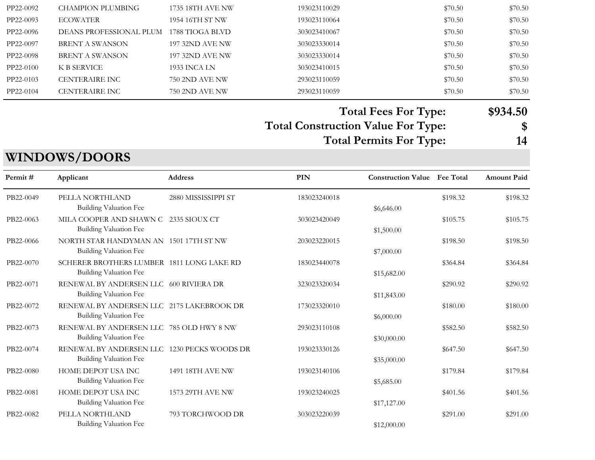| PP22-0092 | CHAMPION PLUMBING       | 1735 18TH AVE NW       | 193023110029 | \$70.50 | \$70.50 |
|-----------|-------------------------|------------------------|--------------|---------|---------|
| PP22-0093 | <b>ECOWATER</b>         | 1954 16TH ST NW        | 193023110064 | \$70.50 | \$70.50 |
| PP22-0096 | DEANS PROFESSIONAL PLUM | 1788 TIOGA BLVD        | 303023410067 | \$70.50 | \$70.50 |
| PP22-0097 | BRENT A SWANSON         | <b>197 32ND AVE NW</b> | 303023330014 | \$70.50 | \$70.50 |
| PP22-0098 | BRENT A SWANSON         | <b>197 32ND AVE NW</b> | 303023330014 | \$70.50 | \$70.50 |
| PP22-0100 | K B SERVICE             | 1933 INCA LN           | 303023410015 | \$70.50 | \$70.50 |
| PP22-0103 | <b>CENTERAIRE INC</b>   | 750 2ND AVE NW         | 293023110059 | \$70.50 | \$70.50 |
| PP22-0104 | <b>CENTERAIRE INC</b>   | 750 2ND AVE NW         | 293023110059 | \$70.50 | \$70.50 |
|           |                         |                        |              |         |         |

Total Construction Value For Type: \$ Total Fees For Type: \$934.50

Total Permits For Type: 14

# WINDOWS/DOORS

| Permit#   | Applicant                                                                    | <b>Address</b>      | PIN          | <b>Construction Value</b> | <b>Fee Total</b> | <b>Amount Paid</b> |
|-----------|------------------------------------------------------------------------------|---------------------|--------------|---------------------------|------------------|--------------------|
| PB22-0049 | PELLA NORTHLAND<br><b>Building Valuation Fee</b>                             | 2880 MISSISSIPPI ST | 183023240018 | \$6,646.00                | \$198.32         | \$198.32           |
| PB22-0063 | MILA COOPER AND SHAWN C<br><b>Building Valuation Fee</b>                     | -2335 SIOUX CT      | 303023420049 | \$1,500.00                | \$105.75         | \$105.75           |
| PB22-0066 | NORTH STAR HANDYMAN AN 1501 17TH ST NW<br><b>Building Valuation Fee</b>      |                     | 203023220015 | \$7,000.00                | \$198.50         | \$198.50           |
| PB22-0070 | SCHERER BROTHERS LUMBER 1811 LONG LAKE RD<br><b>Building Valuation Fee</b>   |                     | 183023440078 | \$15,682.00               | \$364.84         | \$364.84           |
| PB22-0071 | RENEWAL BY ANDERSEN LLC 600 RIVIERA DR<br>Building Valuation Fee             |                     | 323023320034 | \$11,843.00               | \$290.92         | \$290.92           |
| PB22-0072 | RENEWAL BY ANDERSEN LLC 2175 LAKEBROOK DR<br>Building Valuation Fee          |                     | 173023320010 | \$6,000.00                | \$180.00         | \$180.00           |
| PB22-0073 | RENEWAL BY ANDERSEN LLC 785 OLD HWY 8 NW<br>Building Valuation Fee           |                     | 293023110108 | \$30,000.00               | \$582.50         | \$582.50           |
| PB22-0074 | RENEWAL BY ANDERSEN LLC 1230 PECKS WOODS DR<br><b>Building Valuation Fee</b> |                     | 193023330126 | \$35,000.00               | \$647.50         | \$647.50           |
| PB22-0080 | HOME DEPOT USA INC<br><b>Building Valuation Fee</b>                          | 1491 18TH AVE NW    | 193023140106 | \$5,685.00                | \$179.84         | \$179.84           |
| PB22-0081 | HOME DEPOT USA INC<br><b>Building Valuation Fee</b>                          | 1573 29TH AVE NW    | 193023240025 | \$17,127.00               | \$401.56         | \$401.56           |
| PB22-0082 | PELLA NORTHLAND<br><b>Building Valuation Fee</b>                             | 793 TORCHWOOD DR    | 303023220039 | \$12,000.00               | \$291.00         | \$291.00           |